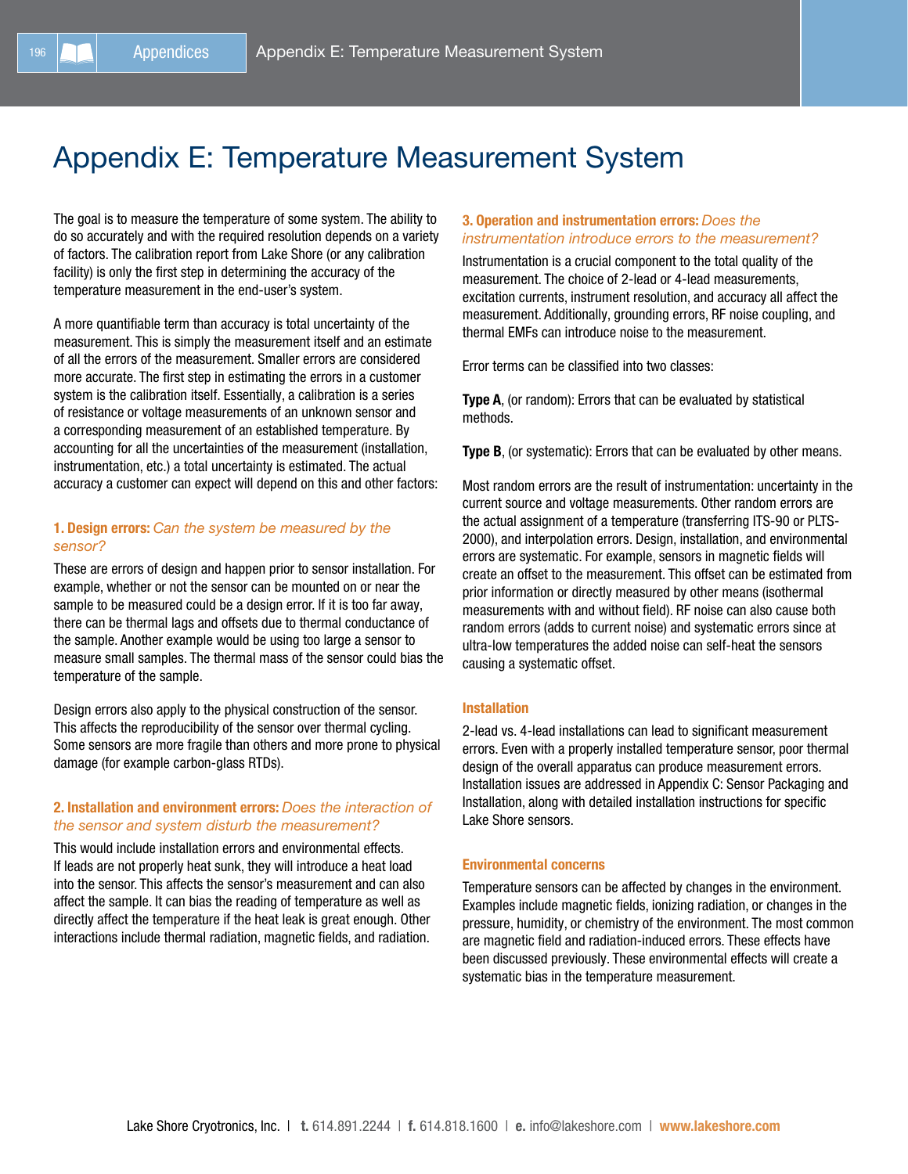# Appendix E: Temperature Measurement System

The goal is to measure the temperature of some system. The ability to do so accurately and with the required resolution depends on a variety of factors. The calibration report from Lake Shore (or any calibration facility) is only the first step in determining the accuracy of the temperature measurement in the end-user's system.

A more quantifiable term than accuracy is total uncertainty of the measurement. This is simply the measurement itself and an estimate of all the errors of the measurement. Smaller errors are considered more accurate. The first step in estimating the errors in a customer system is the calibration itself. Essentially, a calibration is a series of resistance or voltage measurements of an unknown sensor and a corresponding measurement of an established temperature. By accounting for all the uncertainties of the measurement (installation, instrumentation, etc.) a total uncertainty is estimated. The actual accuracy a customer can expect will depend on this and other factors:

# 1. Design errors: *Can the system be measured by the sensor?*

These are errors of design and happen prior to sensor installation. For example, whether or not the sensor can be mounted on or near the sample to be measured could be a design error. If it is too far away, there can be thermal lags and offsets due to thermal conductance of the sample. Another example would be using too large a sensor to measure small samples. The thermal mass of the sensor could bias the temperature of the sample.

Design errors also apply to the physical construction of the sensor. This affects the reproducibility of the sensor over thermal cycling. Some sensors are more fragile than others and more prone to physical damage (for example carbon-glass RTDs).

# 2. Installation and environment errors: *Does the interaction of the sensor and system disturb the measurement?*

This would include installation errors and environmental effects. If leads are not properly heat sunk, they will introduce a heat load into the sensor. This affects the sensor's measurement and can also affect the sample. It can bias the reading of temperature as well as directly affect the temperature if the heat leak is great enough. Other interactions include thermal radiation, magnetic fields, and radiation.

# 3. Operation and instrumentation errors: *Does the instrumentation introduce errors to the measurement?*

Instrumentation is a crucial component to the total quality of the measurement. The choice of 2-lead or 4-lead measurements, excitation currents, instrument resolution, and accuracy all affect the measurement. Additionally, grounding errors, RF noise coupling, and thermal EMFs can introduce noise to the measurement.

Error terms can be classified into two classes:

Type A, (or random): Errors that can be evaluated by statistical methods.

**Type B**, (or systematic): Errors that can be evaluated by other means.

Most random errors are the result of instrumentation: uncertainty in the current source and voltage measurements. Other random errors are the actual assignment of a temperature (transferring ITS-90 or PLTS-2000), and interpolation errors. Design, installation, and environmental errors are systematic. For example, sensors in magnetic fields will create an offset to the measurement. This offset can be estimated from prior information or directly measured by other means (isothermal measurements with and without field). RF noise can also cause both random errors (adds to current noise) and systematic errors since at ultra-low temperatures the added noise can self-heat the sensors causing a systematic offset.

## Installation

2-lead vs. 4-lead installations can lead to significant measurement errors. Even with a properly installed temperature sensor, poor thermal design of the overall apparatus can produce measurement errors. Installation issues are addressed in Appendix C: Sensor Packaging and Installation, along with detailed installation instructions for specific Lake Shore sensors.

#### Environmental concerns

Temperature sensors can be affected by changes in the environment. Examples include magnetic fields, ionizing radiation, or changes in the pressure, humidity, or chemistry of the environment. The most common are magnetic field and radiation-induced errors. These effects have been discussed previously. These environmental effects will create a systematic bias in the temperature measurement.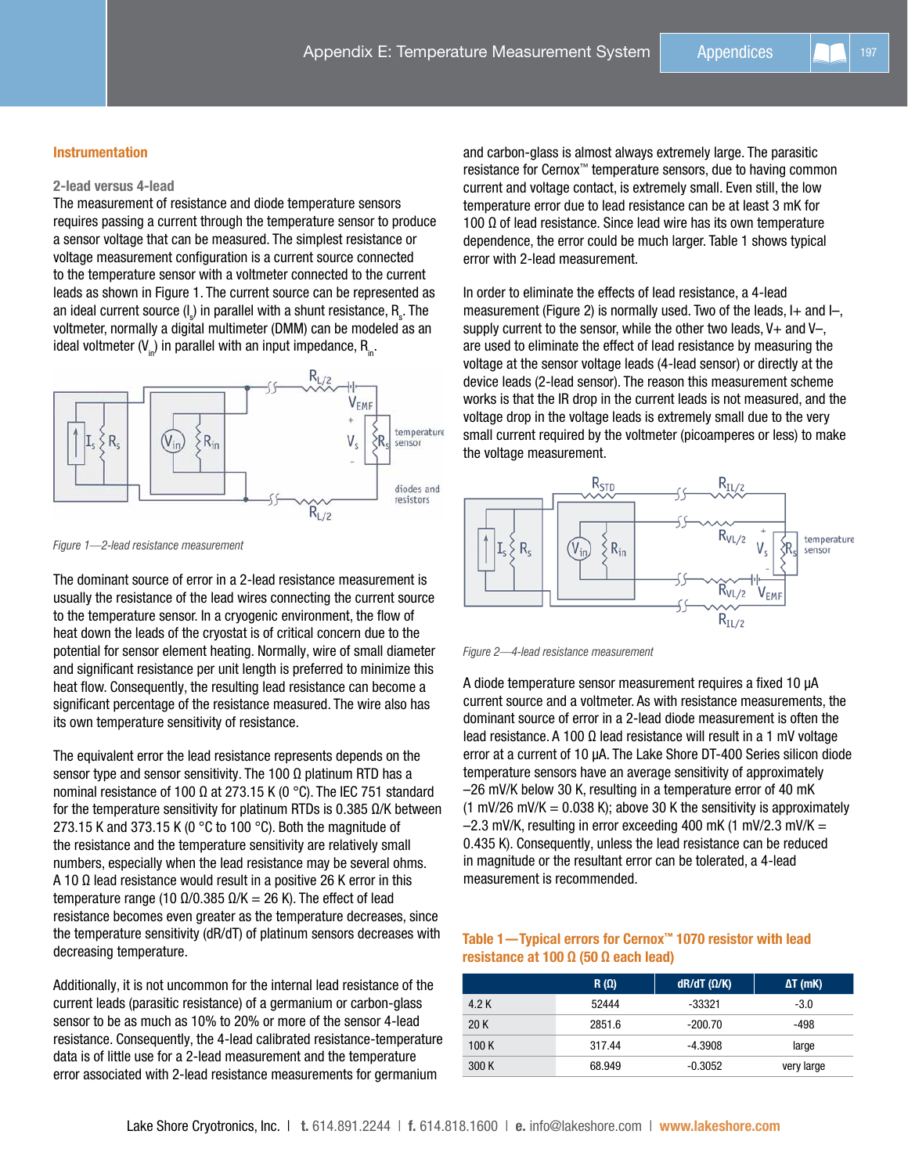# Instrumentation

# 2-lead versus 4-lead

The measurement of resistance and diode temperature sensors requires passing a current through the temperature sensor to produce a sensor voltage that can be measured. The simplest resistance or voltage measurement configuration is a current source connected to the temperature sensor with a voltmeter connected to the current leads as shown in Figure 1. The current source can be represented as an ideal current source (I<sub>s</sub>) in parallel with a shunt resistance,  $\mathsf{R}_\text{\tiny g}.$  The voltmeter, normally a digital multimeter (DMM) can be modeled as an ideal voltmeter  $(V_{n})$  in parallel with an input impedance, R<sub>in</sub>.



*Figure 1—2-lead resistance measurement* 

The dominant source of error in a 2-lead resistance measurement is usually the resistance of the lead wires connecting the current source to the temperature sensor. In a cryogenic environment, the flow of heat down the leads of the cryostat is of critical concern due to the potential for sensor element heating. Normally, wire of small diameter and significant resistance per unit length is preferred to minimize this heat flow. Consequently, the resulting lead resistance can become a significant percentage of the resistance measured. The wire also has its own temperature sensitivity of resistance.

The equivalent error the lead resistance represents depends on the sensor type and sensor sensitivity. The 100  $\Omega$  platinum RTD has a nominal resistance of 100 Ω at 273.15 K (0 °C). The IEC 751 standard for the temperature sensitivity for platinum RTDs is 0.385  $\Omega/K$  between 273.15 K and 373.15 K (0  $^{\circ}$ C to 100  $^{\circ}$ C). Both the magnitude of the resistance and the temperature sensitivity are relatively small numbers, especially when the lead resistance may be several ohms. A 10 Ω lead resistance would result in a positive 26 K error in this temperature range (10  $Ω/0.385$   $Ω/K = 26$  K). The effect of lead resistance becomes even greater as the temperature decreases, since the temperature sensitivity (dR/dT) of platinum sensors decreases with decreasing temperature.

Additionally, it is not uncommon for the internal lead resistance of the current leads (parasitic resistance) of a germanium or carbon-glass sensor to be as much as 10% to 20% or more of the sensor 4-lead resistance. Consequently, the 4-lead calibrated resistance-temperature data is of little use for a 2-lead measurement and the temperature error associated with 2-lead resistance measurements for germanium

and carbon-glass is almost always extremely large. The parasitic resistance for Cernox™ temperature sensors, due to having common current and voltage contact, is extremely small. Even still, the low temperature error due to lead resistance can be at least 3 mK for 100 Ω of lead resistance. Since lead wire has its own temperature dependence, the error could be much larger. Table 1 shows typical error with 2-lead measurement.

In order to eliminate the effects of lead resistance, a 4-lead measurement (Figure 2) is normally used. Two of the leads,  $I+$  and  $I-$ , supply current to the sensor, while the other two leads,  $V+$  and  $V-$ . are used to eliminate the effect of lead resistance by measuring the voltage at the sensor voltage leads (4-lead sensor) or directly at the device leads (2-lead sensor). The reason this measurement scheme works is that the IR drop in the current leads is not measured, and the voltage drop in the voltage leads is extremely small due to the very small current required by the voltmeter (picoamperes or less) to make the voltage measurement.





A diode temperature sensor measurement requires a fixed 10 µA current source and a voltmeter. As with resistance measurements, the dominant source of error in a 2-lead diode measurement is often the lead resistance. A 100 Ω lead resistance will result in a 1 mV voltage error at a current of 10 µA. The Lake Shore DT-400 Series silicon diode temperature sensors have an average sensitivity of approximately –26 mV/K below 30 K, resulting in a temperature error of 40 mK (1 mV/26 mV/K = 0.038 K); above 30 K the sensitivity is approximately  $-2.3$  mV/K, resulting in error exceeding 400 mK (1 mV/2.3 mV/K  $=$ 0.435 K). Consequently, unless the lead resistance can be reduced in magnitude or the resultant error can be tolerated, a 4-lead measurement is recommended.

# Table 1—Typical errors for Cernox™ 1070 resistor with lead resistance at 100 Ω (50 Ω each lead)

|       | $R(\Omega)$ | $dR/dT$ ( $\Omega/K$ ) | $\Delta T$ (mK) |
|-------|-------------|------------------------|-----------------|
| 4.2 K | 52444       | -33321                 | $-3.0$          |
| 20K   | 2851.6      | $-200.70$              | -498            |
| 100K  | 317.44      | $-4.3908$              | large           |
| 300 K | 68.949      | $-0.3052$              | very large      |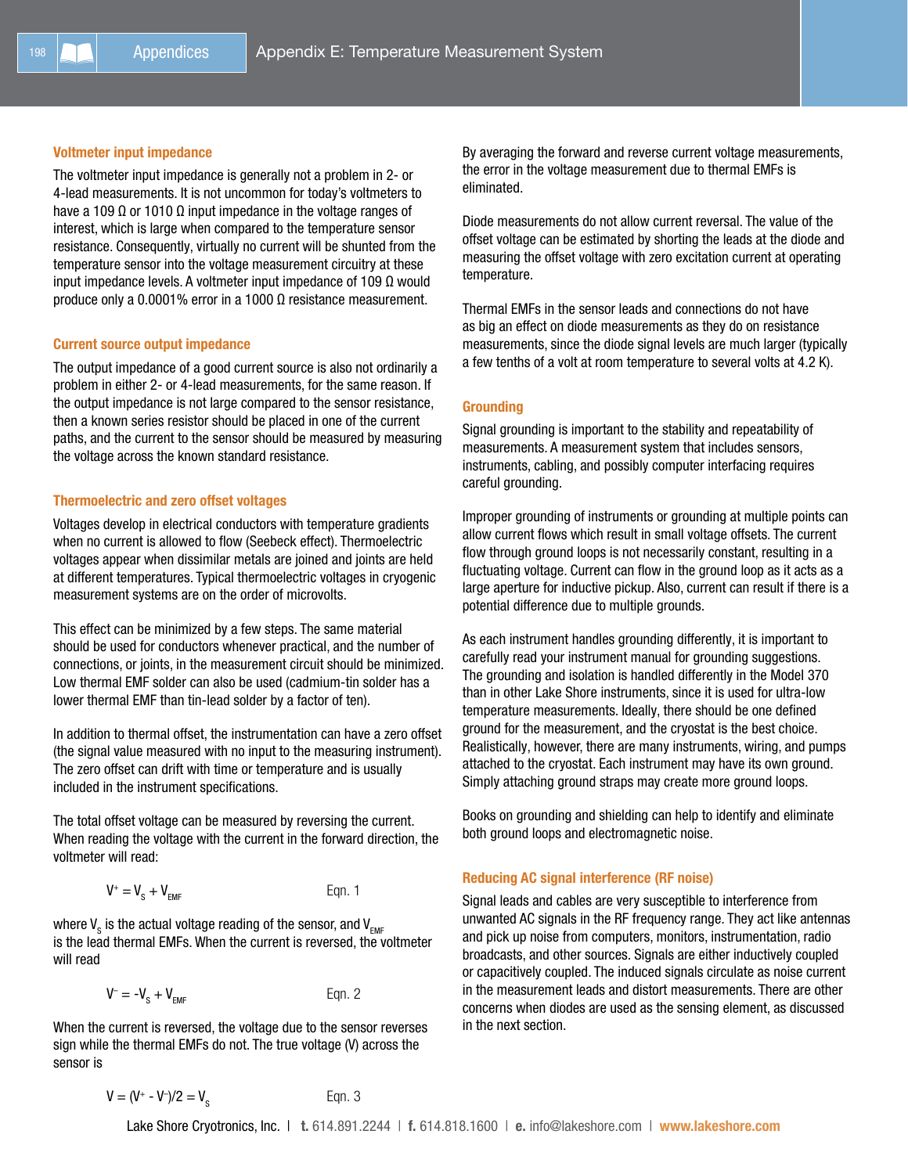#### Voltmeter input impedance

The voltmeter input impedance is generally not a problem in 2- or 4-lead measurements. It is not uncommon for today's voltmeters to have a 109 Ω or 1010 Ω input impedance in the voltage ranges of interest, which is large when compared to the temperature sensor resistance. Consequently, virtually no current will be shunted from the temperature sensor into the voltage measurement circuitry at these input impedance levels. A voltmeter input impedance of 109 Ω would produce only a 0.0001% error in a 1000 Ω resistance measurement.

#### Current source output impedance

The output impedance of a good current source is also not ordinarily a problem in either 2- or 4-lead measurements, for the same reason. If the output impedance is not large compared to the sensor resistance, then a known series resistor should be placed in one of the current paths, and the current to the sensor should be measured by measuring the voltage across the known standard resistance.

## Thermoelectric and zero offset voltages

Voltages develop in electrical conductors with temperature gradients when no current is allowed to flow (Seebeck effect). Thermoelectric voltages appear when dissimilar metals are joined and joints are held at different temperatures. Typical thermoelectric voltages in cryogenic measurement systems are on the order of microvolts.

This effect can be minimized by a few steps. The same material should be used for conductors whenever practical, and the number of connections, or joints, in the measurement circuit should be minimized. Low thermal EMF solder can also be used (cadmium-tin solder has a lower thermal EMF than tin-lead solder by a factor of ten).

In addition to thermal offset, the instrumentation can have a zero offset (the signal value measured with no input to the measuring instrument). The zero offset can drift with time or temperature and is usually included in the instrument specifications.

The total offset voltage can be measured by reversing the current. When reading the voltage with the current in the forward direction, the voltmeter will read:

$$
V^+ = V_s + V_{EMF}
$$
 Eqn. 1

where V $_{_{\mathrm{S}}}$  is the actual voltage reading of the sensor, and V $_{_{\mathrm{EMF}}}$ is the lead thermal EMFs. When the current is reversed, the voltmeter will read

Eqn.  $2$ 

$$
V^- = -V_{\rm S} + V_{\rm EMF}
$$

When the current is reversed, the voltage due to the sensor reverses sign while the thermal EMFs do not. The true voltage (V) across the sensor is

$$
V = (V^* - V^-)/2 = V_s
$$
 Eqn. 3

By averaging the forward and reverse current voltage measurements, the error in the voltage measurement due to thermal EMFs is eliminated.

Diode measurements do not allow current reversal. The value of the offset voltage can be estimated by shorting the leads at the diode and measuring the offset voltage with zero excitation current at operating temperature.

Thermal EMFs in the sensor leads and connections do not have as big an effect on diode measurements as they do on resistance measurements, since the diode signal levels are much larger (typically a few tenths of a volt at room temperature to several volts at 4.2 K).

# **Grounding**

Signal grounding is important to the stability and repeatability of measurements. A measurement system that includes sensors, instruments, cabling, and possibly computer interfacing requires careful grounding.

Improper grounding of instruments or grounding at multiple points can allow current flows which result in small voltage offsets. The current flow through ground loops is not necessarily constant, resulting in a fluctuating voltage. Current can flow in the ground loop as it acts as a large aperture for inductive pickup. Also, current can result if there is a potential difference due to multiple grounds.

As each instrument handles grounding differently, it is important to carefully read your instrument manual for grounding suggestions. The grounding and isolation is handled differently in the Model 370 than in other Lake Shore instruments, since it is used for ultra-low temperature measurements. Ideally, there should be one defined ground for the measurement, and the cryostat is the best choice. Realistically, however, there are many instruments, wiring, and pumps attached to the cryostat. Each instrument may have its own ground. Simply attaching ground straps may create more ground loops.

Books on grounding and shielding can help to identify and eliminate both ground loops and electromagnetic noise.

#### Reducing AC signal interference (RF noise)

Signal leads and cables are very susceptible to interference from unwanted AC signals in the RF frequency range. They act like antennas and pick up noise from computers, monitors, instrumentation, radio broadcasts, and other sources. Signals are either inductively coupled or capacitively coupled. The induced signals circulate as noise current in the measurement leads and distort measurements. There are other concerns when diodes are used as the sensing element, as discussed in the next section.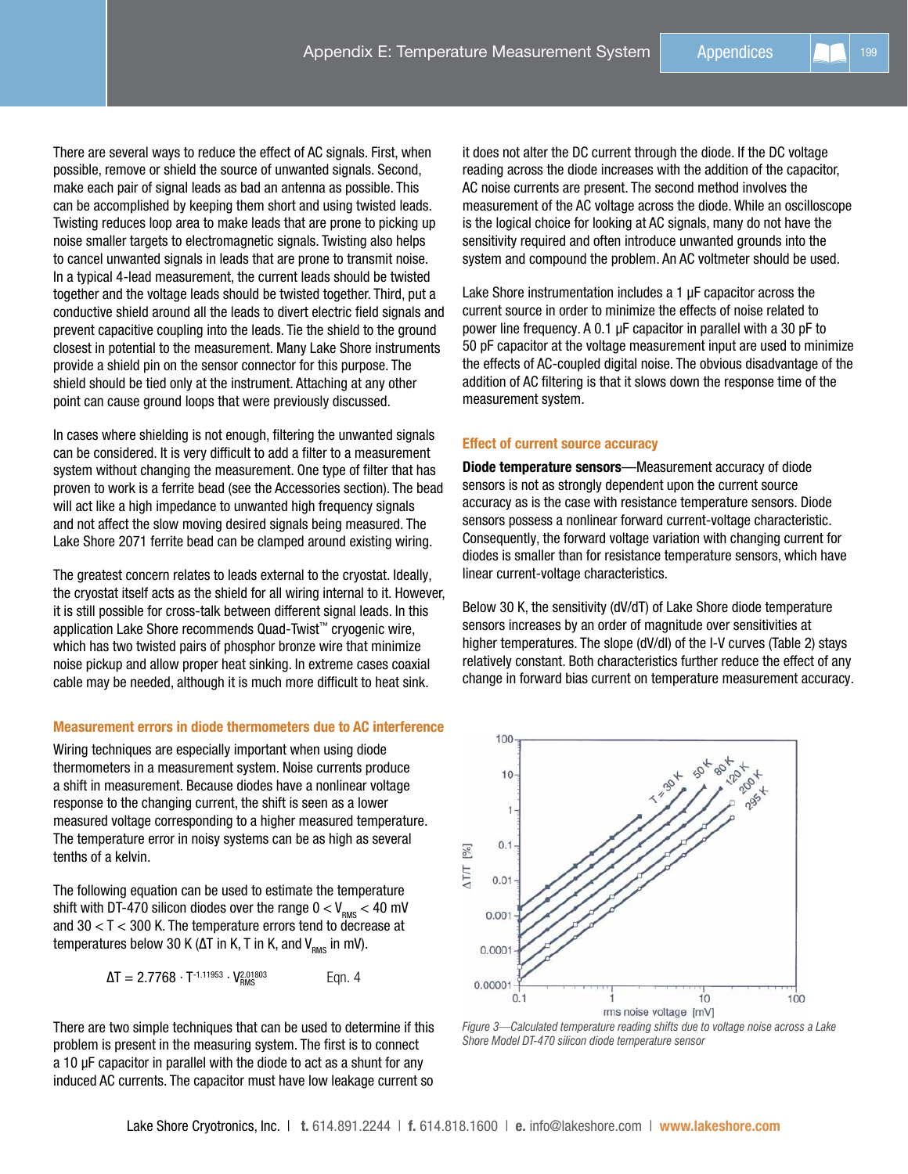There are several ways to reduce the effect of AC signals. First, when possible, remove or shield the source of unwanted signals. Second, make each pair of signal leads as bad an antenna as possible. This can be accomplished by keeping them short and using twisted leads. Twisting reduces loop area to make leads that are prone to picking up noise smaller targets to electromagnetic signals. Twisting also helps to cancel unwanted signals in leads that are prone to transmit noise. In a typical 4-lead measurement, the current leads should be twisted together and the voltage leads should be twisted together. Third, put a conductive shield around all the leads to divert electric field signals and prevent capacitive coupling into the leads. Tie the shield to the ground closest in potential to the measurement. Many Lake Shore instruments provide a shield pin on the sensor connector for this purpose. The shield should be tied only at the instrument. Attaching at any other point can cause ground loops that were previously discussed.

In cases where shielding is not enough, filtering the unwanted signals can be considered. It is very difficult to add a filter to a measurement system without changing the measurement. One type of filter that has proven to work is a ferrite bead (see the Accessories section). The bead will act like a high impedance to unwanted high frequency signals and not affect the slow moving desired signals being measured. The Lake Shore 2071 ferrite bead can be clamped around existing wiring.

The greatest concern relates to leads external to the cryostat. Ideally, the cryostat itself acts as the shield for all wiring internal to it. However, it is still possible for cross-talk between different signal leads. In this application Lake Shore recommends Quad-Twist™ cryogenic wire, which has two twisted pairs of phosphor bronze wire that minimize noise pickup and allow proper heat sinking. In extreme cases coaxial cable may be needed, although it is much more difficult to heat sink.

# Measurement errors in diode thermometers due to AC interference

Wiring techniques are especially important when using diode thermometers in a measurement system. Noise currents produce a shift in measurement. Because diodes have a nonlinear voltage response to the changing current, the shift is seen as a lower measured voltage corresponding to a higher measured temperature. The temperature error in noisy systems can be as high as several tenths of a kelvin.

The following equation can be used to estimate the temperature shift with DT-470 silicon diodes over the range  $0 < V_{\text{RMS}} < 40$  mV and 30 < T < 300 K. The temperature errors tend to decrease at temperatures below 30 K ( $ΔT$  in K, T in K, and V<sub>RMS</sub> in mV).

$$
\Delta T = 2.7768 \cdot T^{-1.11953} \cdot V_{RMS}^{2.01803}
$$
 Eqn. 4

There are two simple techniques that can be used to determine if this problem is present in the measuring system. The first is to connect a 10 µF capacitor in parallel with the diode to act as a shunt for any induced AC currents. The capacitor must have low leakage current so

it does not alter the DC current through the diode. If the DC voltage reading across the diode increases with the addition of the capacitor, AC noise currents are present. The second method involves the measurement of the AC voltage across the diode. While an oscilloscope is the logical choice for looking at AC signals, many do not have the sensitivity required and often introduce unwanted grounds into the system and compound the problem. An AC voltmeter should be used.

Lake Shore instrumentation includes a 1 µF capacitor across the current source in order to minimize the effects of noise related to power line frequency. A 0.1 µF capacitor in parallel with a 30 pF to 50 pF capacitor at the voltage measurement input are used to minimize the effects of AC-coupled digital noise. The obvious disadvantage of the addition of AC filtering is that it slows down the response time of the measurement system.

## Effect of current source accuracy

Diode temperature sensors—Measurement accuracy of diode sensors is not as strongly dependent upon the current source accuracy as is the case with resistance temperature sensors. Diode sensors possess a nonlinear forward current-voltage characteristic. Consequently, the forward voltage variation with changing current for diodes is smaller than for resistance temperature sensors, which have linear current-voltage characteristics.

Below 30 K, the sensitivity (dV/dT) of Lake Shore diode temperature sensors increases by an order of magnitude over sensitivities at higher temperatures. The slope (dV/dI) of the I-V curves (Table 2) stays relatively constant. Both characteristics further reduce the effect of any change in forward bias current on temperature measurement accuracy.



*Figure 3—Calculated temperature reading shifts due to voltage noise across a Lake Shore Model DT-470 silicon diode temperature sensor*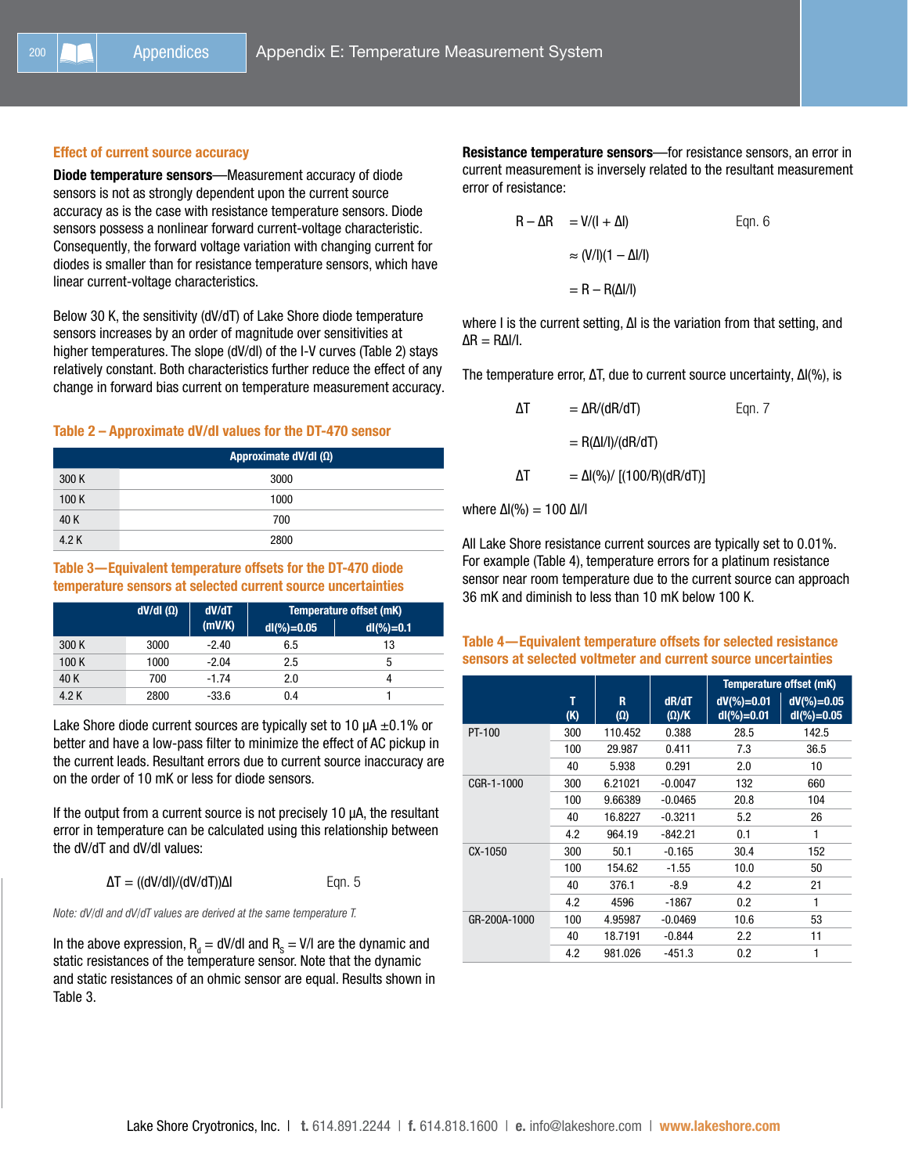## Effect of current source accuracy

Diode temperature sensors—Measurement accuracy of diode sensors is not as strongly dependent upon the current source accuracy as is the case with resistance temperature sensors. Diode sensors possess a nonlinear forward current-voltage characteristic. Consequently, the forward voltage variation with changing current for diodes is smaller than for resistance temperature sensors, which have linear current-voltage characteristics.

Below 30 K, the sensitivity (dV/dT) of Lake Shore diode temperature sensors increases by an order of magnitude over sensitivities at higher temperatures. The slope (dV/dI) of the I-V curves (Table 2) stays relatively constant. Both characteristics further reduce the effect of any change in forward bias current on temperature measurement accuracy.

# Table 2 – Approximate dV/dI values for the DT-470 sensor

|       | Approximate dV/dl (Ω) |
|-------|-----------------------|
| 300 K | 3000                  |
| 100K  | 1000                  |
| 40 K  | 700                   |
| 4.2 K | 2800                  |

# Table 3—Equivalent temperature offsets for the DT-470 diode temperature sensors at selected current source uncertainties

|       | $dV/dI(\Omega)$ | dV/dT<br>(mV/K) | Temperature offset (mK) |              |  |
|-------|-----------------|-----------------|-------------------------|--------------|--|
|       |                 |                 | $dl$ (%) = 0.05         | $dl(\%)=0.1$ |  |
| 300 K | 3000            | $-2.40$         | 6.5                     | 13           |  |
| 100K  | 1000            | $-2.04$         | 2.5                     | 5            |  |
| 40 K  | 700             | $-1.74$         | 2.0                     |              |  |
| 4.2 K | 2800            | $-33.6$         | 0.4                     |              |  |

Lake Shore diode current sources are typically set to 10  $\mu$ A  $\pm$ 0.1% or better and have a low-pass filter to minimize the effect of AC pickup in the current leads. Resultant errors due to current source inaccuracy are on the order of 10 mK or less for diode sensors.

If the output from a current source is not precisely 10 µA, the resultant error in temperature can be calculated using this relationship between the dV/dT and dV/dI values:

$$
\Delta T = ((dV/dI)/(dV/dT))\Delta I
$$
 Eqn. 5

*Note: dV/dI and dV/dT values are derived at the same temperature T.*

In the above expression,  $R_d = dV/dl$  and  $R_s = V/l$  are the dynamic and static resistances of the temperature sensor. Note that the dynamic and static resistances of an ohmic sensor are equal. Results shown in Table 3.

Resistance temperature sensors—for resistance sensors, an error in current measurement is inversely related to the resultant measurement error of resistance:

$$
R - \Delta R = V/(I + \Delta I)
$$
 Eqn. 6  

$$
\approx (V/I)(1 - \Delta I/I)
$$

$$
= R - R(\Delta I/I)
$$

where I is the current setting, ∆I is the variation from that setting, and  $ΔR = RΔI/I$ .

The temperature error, ∆T, due to current source uncertainty, ∆I(%), is

| ΔΤ | $=\Delta R/(dR/dT)$               | Egn. 7 |
|----|-----------------------------------|--------|
|    | $= R(\Delta I/I)/(dR/dT)$         |        |
| ΛТ | $= \Delta I(\%)/[(100/R)(dR/dT)]$ |        |

where ΔI(%) = 100 ΔI/I

All Lake Shore resistance current sources are typically set to 0.01%. For example (Table 4), temperature errors for a platinum resistance sensor near room temperature due to the current source can approach 36 mK and diminish to less than 10 mK below 100 K.

# Table 4—Equivalent temperature offsets for selected resistance sensors at selected voltmeter and current source uncertainties

|         |              |          |                 |                       |                                  | Temperature offset (mK)        |  |
|---------|--------------|----------|-----------------|-----------------------|----------------------------------|--------------------------------|--|
|         |              | т<br>(K) | R<br>$(\Omega)$ | dR/dT<br>$(\Omega)/K$ | $dV$ (%) = 0.01<br>$dl$ (%)=0.01 | $dV$ (%)=0.05<br>$dl$ (%)=0.05 |  |
|         | PT-100       | 300      | 110.452         | 0.388                 | 28.5                             | 142.5                          |  |
|         |              | 100      | 29.987          | 0.411                 | 7.3                              | 36.5                           |  |
|         |              | 40       | 5.938           | 0.291                 | 2.0                              | 10                             |  |
|         | CGR-1-1000   | 300      | 6.21021         | $-0.0047$             | 132                              | 660                            |  |
|         |              | 100      | 9.66389         | $-0.0465$             | 20.8                             | 104                            |  |
|         |              | 40       | 16.8227         | $-0.3211$             | 5.2                              | 26                             |  |
|         |              | 4.2      | 964.19          | $-842.21$             | 0.1                              | 1                              |  |
| CX-1050 | 300          | 50.1     | $-0.165$        | 30.4                  | 152                              |                                |  |
|         |              | 100      | 154.62          | $-1.55$               | 10.0                             | 50                             |  |
|         | 40           | 376.1    | $-8.9$          | 4.2                   | 21                               |                                |  |
|         |              | 4.2      | 4596            | -1867                 | 0.2                              | 1                              |  |
|         | GR-200A-1000 | 100      | 4.95987         | $-0.0469$             | 10.6                             | 53                             |  |
|         |              | 40       | 18.7191         | $-0.844$              | 2.2                              | 11                             |  |
|         |              | 4.2      | 981.026         | $-451.3$              | 0.2                              | 1                              |  |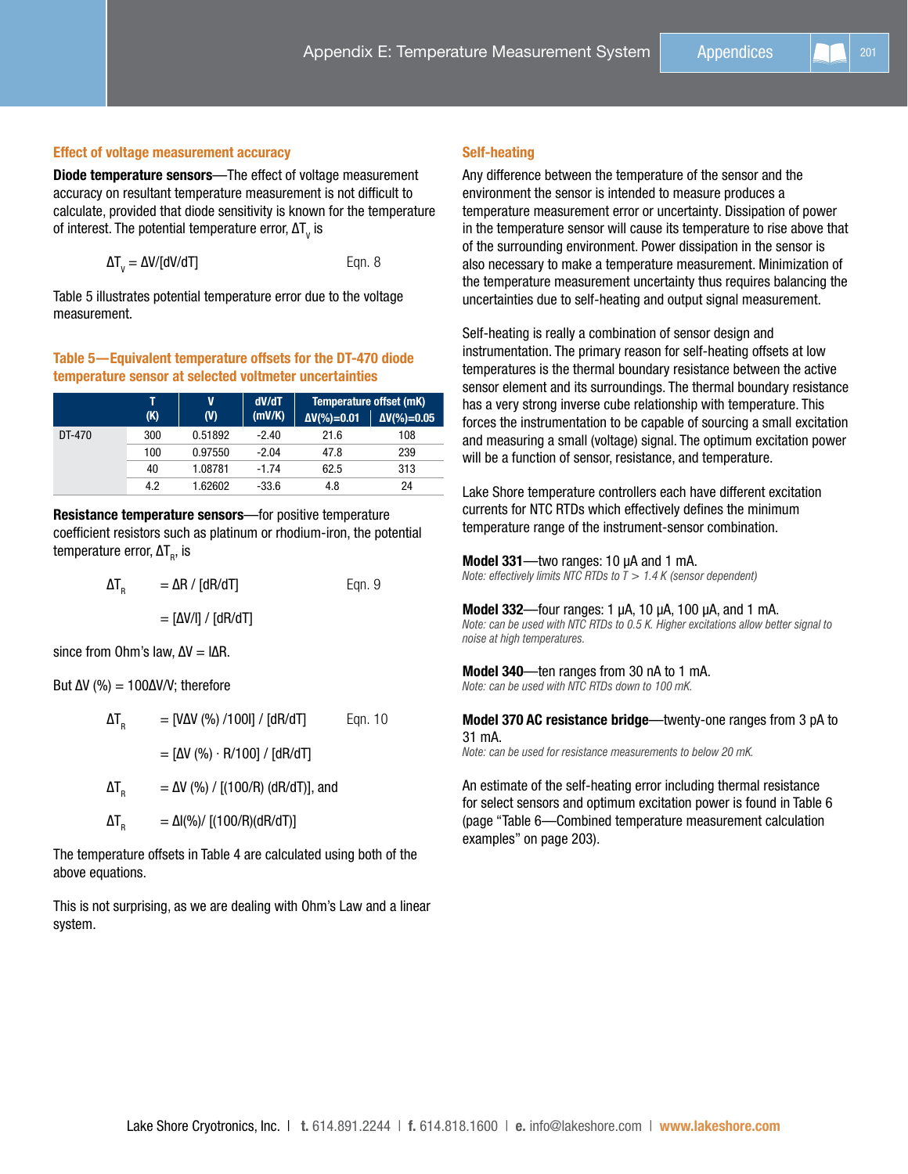## Effect of voltage measurement accuracy

Diode temperature sensors—The effect of voltage measurement accuracy on resultant temperature measurement is not difficult to calculate, provided that diode sensitivity is known for the temperature of interest. The potential temperature error,  $\Delta\mathsf{T}_\mathsf{v}$  is

$$
\Delta T_{v} = \Delta V / [dV/dT]
$$
 Eqn. 8

Table 5 illustrates potential temperature error due to the voltage measurement.

## Table 5—Equivalent temperature offsets for the DT-470 diode temperature sensor at selected voltmeter uncertainties

|        |     | V            | dV/dT<br>(mV/K) | Temperature offset (mK) |                     |
|--------|-----|--------------|-----------------|-------------------------|---------------------|
|        | (K) | $\mathbf{v}$ |                 | $\Delta V$ (%)=0.01     | $\Delta V$ (%)=0.05 |
| DT-470 | 300 | 0.51892      | $-2.40$         | 21.6                    | 108                 |
|        | 100 | 0.97550      | $-2.04$         | 47.8                    | 239                 |
|        | 40  | 1.08781      | $-1.74$         | 62.5                    | 313                 |
|        | 4.2 | 1.62602      | $-33.6$         | 4.8                     | 24                  |

Resistance temperature sensors—for positive temperature coefficient resistors such as platinum or rhodium-iron, the potential temperature error, ∆T<sub>R</sub>, is

$$
\Delta T_R = \Delta R / [dR/dT]
$$
Eqn. 9  
= [ΔV/I] / [dR/dT]

since from Ohm's law,  $\Delta V = I \Delta R$ .

But  $\Delta V$  (%) = 100 $\Delta V/V$ ; therefore

above equations.

| $\Delta I_{\rm R}$ | $=$ [VΔV (%) /100I] / [dR/dT]                        | Egn. 10 |
|--------------------|------------------------------------------------------|---------|
|                    | = $\Delta V$ (%) $\cdot$ R/100] / $\Delta V$ (dR/dT] |         |
| $\Delta T_{\rm R}$ | $= \Delta V$ (%) / [(100/R) (dR/dT)], and            |         |

The temperature offsets in Table 4 are calculated using both of the

 $\Delta T_e$  =  $\Delta I(\%)/[(100/R)(dR/dT)]$ 

This is not surprising, as we are dealing with Ohm's Law and a linear system.

## Self-heating

Any difference between the temperature of the sensor and the environment the sensor is intended to measure produces a temperature measurement error or uncertainty. Dissipation of power in the temperature sensor will cause its temperature to rise above that of the surrounding environment. Power dissipation in the sensor is also necessary to make a temperature measurement. Minimization of the temperature measurement uncertainty thus requires balancing the uncertainties due to self-heating and output signal measurement.

Self-heating is really a combination of sensor design and instrumentation. The primary reason for self-heating offsets at low temperatures is the thermal boundary resistance between the active sensor element and its surroundings. The thermal boundary resistance has a very strong inverse cube relationship with temperature. This forces the instrumentation to be capable of sourcing a small excitation and measuring a small (voltage) signal. The optimum excitation power will be a function of sensor, resistance, and temperature.

Lake Shore temperature controllers each have different excitation currents for NTC RTDs which effectively defines the minimum temperature range of the instrument-sensor combination.

## Model 331—two ranges: 10 µA and 1 mA.

*Note: effectively limits NTC RTDs to T > 1.4 K (sensor dependent)*

## Model 332—four ranges: 1 µA, 10 µA, 100 µA, and 1 mA.

*Note: can be used with NTC RTDs to 0.5 K. Higher excitations allow better signal to noise at high temperatures.*

## Model 340—ten ranges from 30 nA to 1 mA.

*Note: can be used with NTC RTDs down to 100 mK.*

## Model 370 AC resistance bridge—twenty-one ranges from 3 pA to 31 mA.

*Note: can be used for resistance measurements to below 20 mK.*

An estimate of the self-heating error including thermal resistance for select sensors and optimum excitation power is found in Table 6 (page ["Table 6—Combined temperature measurement calculation](#page-7-0)  [examples" on page 203\)](#page-7-0).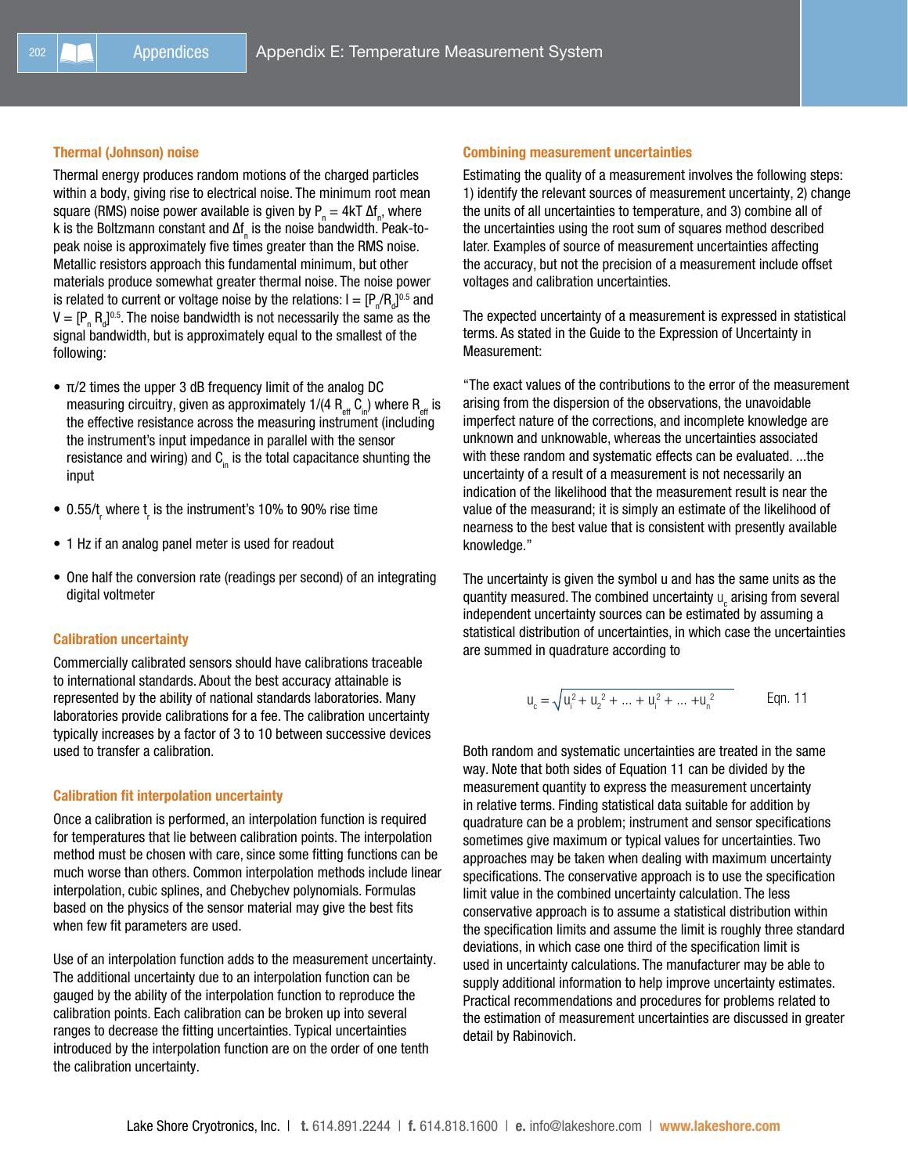# Thermal (Johnson) noise

Thermal energy produces random motions of the charged particles within a body, giving rise to electrical noise. The minimum root mean square (RMS) noise power available is given by  $P_n = 4kT \Delta f_n$ , where k is the Boltzmann constant and ∆f<sub>n</sub> is the noise bandwidth. Peak-topeak noise is approximately five times greater than the RMS noise. Metallic resistors approach this fundamental minimum, but other materials produce somewhat greater thermal noise. The noise power is related to current or voltage noise by the relations:  $\mathsf{I} = [\mathsf{P}_{_\textup{m}}/\mathsf{R}_{_\textup{d}}]^{0.5}$  and  $V = [P_{n} R_{d}]^{0.5}$ . The noise bandwidth is not necessarily the same as the signal bandwidth, but is approximately equal to the smallest of the following:

- $\bullet$   $\pi/2$  times the upper 3 dB frequency limit of the analog DC measuring circuitry, given as approximately 1/(4  $R_{\text{eff}}^{\text{eff}}$  C<sub>in</sub>) where  $R_{\text{eff}}$  is the effective resistance across the measuring instrument (including the instrument's input impedance in parallel with the sensor resistance and wiring) and  $C<sub>in</sub>$  is the total capacitance shunting the input
- $\bullet$  0.55/t<sub>,</sub> where t<sub>,</sub> is the instrument's 10% to 90% rise time
- 1 Hz if an analog panel meter is used for readout
- One half the conversion rate (readings per second) of an integrating digital voltmeter

#### Calibration uncertainty

Commercially calibrated sensors should have calibrations traceable to international standards. About the best accuracy attainable is represented by the ability of national standards laboratories. Many laboratories provide calibrations for a fee. The calibration uncertainty typically increases by a factor of 3 to 10 between successive devices used to transfer a calibration.

#### Calibration fit interpolation uncertainty

Once a calibration is performed, an interpolation function is required for temperatures that lie between calibration points. The interpolation method must be chosen with care, since some fitting functions can be much worse than others. Common interpolation methods include linear interpolation, cubic splines, and Chebychev polynomials. Formulas based on the physics of the sensor material may give the best fits when few fit parameters are used.

Use of an interpolation function adds to the measurement uncertainty. The additional uncertainty due to an interpolation function can be gauged by the ability of the interpolation function to reproduce the calibration points. Each calibration can be broken up into several ranges to decrease the fitting uncertainties. Typical uncertainties introduced by the interpolation function are on the order of one tenth the calibration uncertainty.

## Combining measurement uncertainties

Estimating the quality of a measurement involves the following steps: 1) identify the relevant sources of measurement uncertainty, 2) change the units of all uncertainties to temperature, and 3) combine all of the uncertainties using the root sum of squares method described later. Examples of source of measurement uncertainties affecting the accuracy, but not the precision of a measurement include offset voltages and calibration uncertainties.

The expected uncertainty of a measurement is expressed in statistical terms. As stated in the Guide to the Expression of Uncertainty in Measurement:

"The exact values of the contributions to the error of the measurement arising from the dispersion of the observations, the unavoidable imperfect nature of the corrections, and incomplete knowledge are unknown and unknowable, whereas the uncertainties associated with these random and systematic effects can be evaluated. ...the uncertainty of a result of a measurement is not necessarily an indication of the likelihood that the measurement result is near the value of the measurand; it is simply an estimate of the likelihood of nearness to the best value that is consistent with presently available knowledge."

The uncertainty is given the symbol u and has the same units as the quantity measured. The combined uncertainty  $\mathsf{u}_{\mathrm{c}}$  arising from several independent uncertainty sources can be estimated by assuming a statistical distribution of uncertainties, in which case the uncertainties are summed in quadrature according to

$$
u_{c} = \sqrt{u_{i}^{2} + u_{2}^{2} + \dots + u_{i}^{2} + \dots + u_{n}^{2}}
$$
 Eqn. 11

Both random and systematic uncertainties are treated in the same way. Note that both sides of Equation 11 can be divided by the measurement quantity to express the measurement uncertainty in relative terms. Finding statistical data suitable for addition by quadrature can be a problem; instrument and sensor specifications sometimes give maximum or typical values for uncertainties. Two approaches may be taken when dealing with maximum uncertainty specifications. The conservative approach is to use the specification limit value in the combined uncertainty calculation. The less conservative approach is to assume a statistical distribution within the specification limits and assume the limit is roughly three standard deviations, in which case one third of the specification limit is used in uncertainty calculations. The manufacturer may be able to supply additional information to help improve uncertainty estimates. Practical recommendations and procedures for problems related to the estimation of measurement uncertainties are discussed in greater detail by Rabinovich.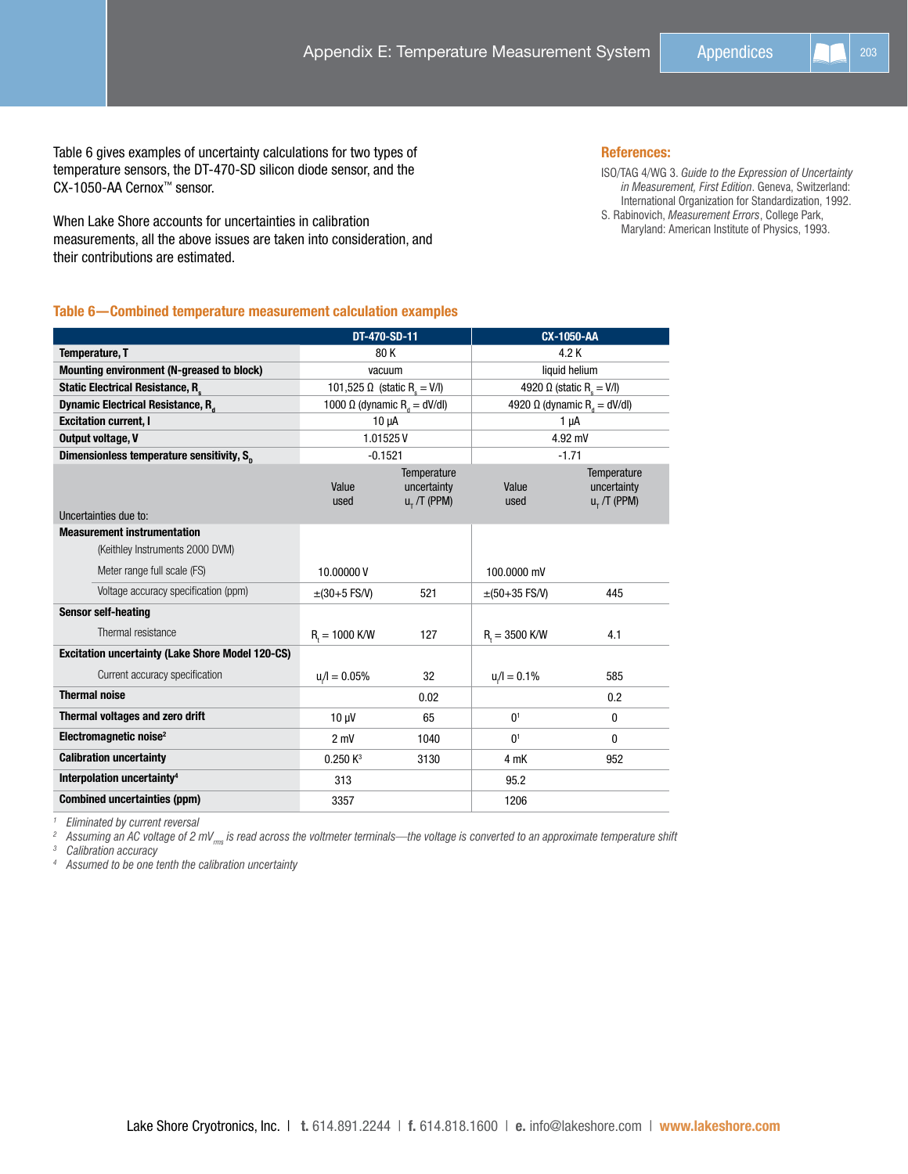Table 6 gives examples of uncertainty calculations for two types of temperature sensors, the DT-470-SD silicon diode sensor, and the CX-1050-AA Cernox™ sensor.

When Lake Shore accounts for uncertainties in calibration measurements, all the above issues are taken into consideration, and their contributions are estimated.

## References:

ISO/TAG 4/WG 3. *Guide to the Expression of Uncertainty in Measurement, First Edition*. Geneva, Switzerland: International Organization for Standardization, 1992. S. Rabinovich, *Measurement Errors*, College Park, Maryland: American Institute of Physics, 1993.

# <span id="page-7-0"></span>Table 6—Combined temperature measurement calculation examples

|                                                         | DT-470-SD-11                                   |                                                   | <b>CX-1050-AA</b> |                                                   |  |
|---------------------------------------------------------|------------------------------------------------|---------------------------------------------------|-------------------|---------------------------------------------------|--|
| <b>Temperature, T</b>                                   | 80K                                            |                                                   | 4.2 K             |                                                   |  |
| Mounting environment (N-greased to block)               | vacuum                                         |                                                   | liquid helium     |                                                   |  |
| <b>Static Electrical Resistance, R.</b>                 | 101,525 Ω (static R <sub>s</sub> = V/I)        |                                                   |                   | 4920 $\Omega$ (static R <sub>s</sub> = V/I)       |  |
| Dynamic Electrical Resistance, R <sub>a</sub>           | 1000 $\Omega$ (dynamic R <sub>a</sub> = dV/dl) |                                                   |                   | 4920 $\Omega$ (dynamic R <sub>d</sub> = dV/dl)    |  |
| <b>Excitation current, I</b>                            | $10 \mu A$                                     |                                                   | $1 \mu A$         |                                                   |  |
| <b>Output voltage, V</b>                                | 1.01525V                                       |                                                   | 4.92 mV           |                                                   |  |
| Dimensionless temperature sensitivity, S <sub>n</sub>   | $-0.1521$                                      |                                                   |                   | $-1.71$                                           |  |
| Uncertainties due to:                                   | Value<br>used                                  | Temperature<br>uncertainty<br>$u_{\tau}$ /T (PPM) | Value<br>used     | Temperature<br>uncertainty<br>$u_{\tau}$ /T (PPM) |  |
| <b>Measurement instrumentation</b>                      |                                                |                                                   |                   |                                                   |  |
| (Keithley Instruments 2000 DVM)                         |                                                |                                                   |                   |                                                   |  |
| Meter range full scale (FS)                             | 10.00000V                                      |                                                   | 100,0000 mV       |                                                   |  |
| Voltage accuracy specification (ppm)                    | $\pm(30+5$ FS/V)                               | 521                                               | $\pm(50+35$ FS/V) | 445                                               |  |
| <b>Sensor self-heating</b>                              |                                                |                                                   |                   |                                                   |  |
| Thermal resistance                                      | $R_{i} = 1000$ K/W                             | 127                                               | $R = 3500$ K/W    | 4.1                                               |  |
| <b>Excitation uncertainty (Lake Shore Model 120-CS)</b> |                                                |                                                   |                   |                                                   |  |
| Current accuracy specification                          | $u/l = 0.05%$                                  | 32                                                | $u/l = 0.1%$      | 585                                               |  |
| <b>Thermal noise</b>                                    |                                                | 0.02                                              |                   | 0.2                                               |  |
| <b>Thermal voltages and zero drift</b>                  | $10 \mu V$                                     | 65                                                | 0 <sup>1</sup>    | 0                                                 |  |
| Electromagnetic noise <sup>2</sup>                      | $2 \text{ mV}$                                 | 1040                                              | 0 <sup>1</sup>    | 0                                                 |  |
| <b>Calibration uncertainty</b>                          | 0.250 K <sup>3</sup>                           | 3130                                              | 4 mK              | 952                                               |  |
| Interpolation uncertainty <sup>4</sup>                  | 313                                            |                                                   | 95.2              |                                                   |  |
| <b>Combined uncertainties (ppm)</b>                     | 3357                                           |                                                   | 1206              |                                                   |  |

*<sup>1</sup> Eliminated by current reversal*

*<sup>2</sup> Assuming an AC voltage of 2 mVrms is read across the voltmeter terminals—the voltage is converted to an approximate temperature shift <sup>3</sup> Calibration accuracy*

*<sup>4</sup> Assumed to be one tenth the calibration uncertainty*